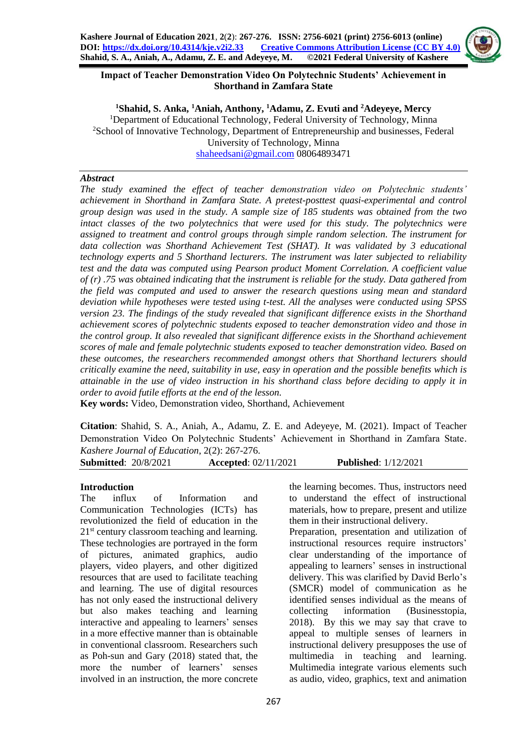

### **Impact of Teacher Demonstration Video On Polytechnic Students' Achievement in Shorthand in Zamfara State**

**<sup>1</sup>Shahid, S. Anka, <sup>1</sup>Aniah, Anthony, <sup>1</sup>Adamu, Z. Evuti and <sup>2</sup>Adeyeye, Mercy** <sup>1</sup>Department of Educational Technology, Federal University of Technology, Minna <sup>2</sup>School of Innovative Technology, Department of Entrepreneurship and businesses, Federal University of Technology, Minna [shaheedsani@gmail.com](mailto:shaheedsani@gmail.com) 08064893471

#### *Abstract*

*The study examined the effect of teacher demonstration video on Polytechnic students' achievement in Shorthand in Zamfara State. A pretest-posttest quasi-experimental and control group design was used in the study. A sample size of 185 students was obtained from the two intact classes of the two polytechnics that were used for this study. The polytechnics were assigned to treatment and control groups through simple random selection. The instrument for data collection was Shorthand Achievement Test (SHAT). It was validated by 3 educational technology experts and 5 Shorthand lecturers. The instrument was later subjected to reliability test and the data was computed using Pearson product Moment Correlation. A coefficient value of (r) .75 was obtained indicating that the instrument is reliable for the study. Data gathered from the field was computed and used to answer the research questions using mean and standard deviation while hypotheses were tested using t-test. All the analyses were conducted using SPSS version 23. The findings of the study revealed that significant difference exists in the Shorthand achievement scores of polytechnic students exposed to teacher demonstration video and those in the control group. It also revealed that significant difference exists in the Shorthand achievement scores of male and female polytechnic students exposed to teacher demonstration video. Based on these outcomes, the researchers recommended amongst others that Shorthand lecturers should critically examine the need, suitability in use, easy in operation and the possible benefits which is attainable in the use of video instruction in his shorthand class before deciding to apply it in order to avoid futile efforts at the end of the lesson.*

**Key words:** Video, Demonstration video, Shorthand, Achievement

**Citation**: Shahid, S. A., Aniah, A., Adamu, Z. E. and Adeyeye, M. (2021). Impact of Teacher Demonstration Video On Polytechnic Students' Achievement in Shorthand in Zamfara State. *Kashere Journal of Education*, 2(2): 267-276.

**Submitted**: 20/8/2021 **Accepted**: 02/11/2021 **Published**: 1/12/2021

## **Introduction**

The influx of Information and Communication Technologies (ICTs) has revolutionized the field of education in the 21<sup>st</sup> century classroom teaching and learning. These technologies are portrayed in the form of pictures, animated graphics, audio players, video players, and other digitized resources that are used to facilitate teaching and learning. The use of digital resources has not only eased the instructional delivery but also makes teaching and learning interactive and appealing to learners' senses in a more effective manner than is obtainable in conventional classroom. Researchers such as Poh-sun and Gary (2018) stated that, the more the number of learners' senses involved in an instruction, the more concrete

the learning becomes. Thus, instructors need to understand the effect of instructional materials, how to prepare, present and utilize them in their instructional delivery.

Preparation, presentation and utilization of instructional resources require instructors' clear understanding of the importance of appealing to learners' senses in instructional delivery. This was clarified by David Berlo's (SMCR) model of communication as he identified senses individual as the means of collecting information (Businesstopia, 2018). By this we may say that crave to appeal to multiple senses of learners in instructional delivery presupposes the use of multimedia in teaching and learning. Multimedia integrate various elements such as audio, video, graphics, text and animation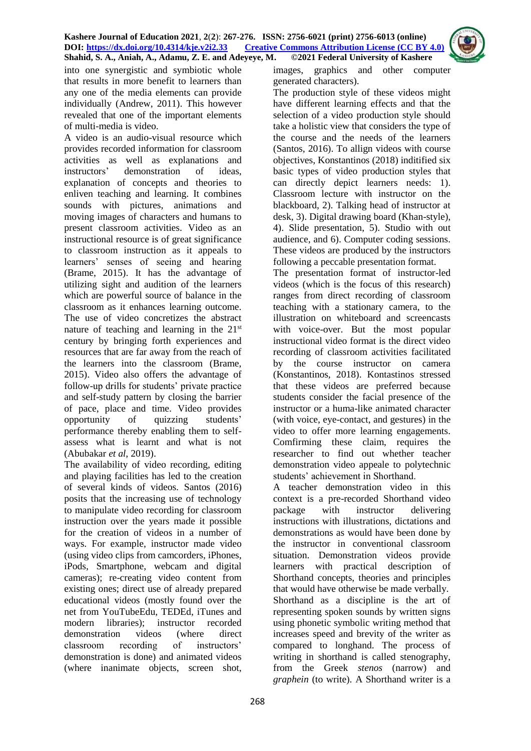

into one synergistic and symbiotic whole that results in more benefit to learners than any one of the media elements can provide individually (Andrew, 2011). This however revealed that one of the important elements of multi-media is video.

A video is an audio-visual resource which provides recorded information for classroom activities as well as explanations and instructors' demonstration of ideas, explanation of concepts and theories to enliven teaching and learning. It combines sounds with pictures, animations and moving images of characters and humans to present classroom activities. Video as an instructional resource is of great significance to classroom instruction as it appeals to learners' senses of seeing and hearing (Brame, 2015). It has the advantage of utilizing sight and audition of the learners which are powerful source of balance in the classroom as it enhances learning outcome. The use of video concretizes the abstract nature of teaching and learning in the  $21<sup>st</sup>$ century by bringing forth experiences and resources that are far away from the reach of the learners into the classroom (Brame, 2015). Video also offers the advantage of follow-up drills for students' private practice and self-study pattern by closing the barrier of pace, place and time. Video provides opportunity of quizzing students' performance thereby enabling them to selfassess what is learnt and what is not (Abubakar *et al*, 2019).

The availability of video recording, editing and playing facilities has led to the creation of several kinds of videos. Santos (2016) posits that the increasing use of technology to manipulate video recording for classroom instruction over the years made it possible for the creation of videos in a number of ways. For example, instructor made video (using video clips from camcorders, iPhones, iPods, Smartphone, webcam and digital cameras); re-creating video content from existing ones; direct use of already prepared educational videos (mostly found over the net from YouTubeEdu, TEDEd, iTunes and modern libraries); instructor recorded demonstration videos (where direct classroom recording of instructors' demonstration is done) and animated videos (where inanimate objects, screen shot,

images, graphics and other computer generated characters).

The production style of these videos might have different learning effects and that the selection of a video production style should take a holistic view that considers the type of the course and the needs of the learners (Santos, 2016). To allign videos with course objectives, Konstantinos (2018) inditified six basic types of video production styles that can directly depict learners needs: 1). Classroom lecture with instructor on the blackboard, 2). Talking head of instructor at desk, 3). Digital drawing board (Khan-style), 4). Slide presentation, 5). Studio with out audience, and 6). Computer coding sessions. These videos are produced by the instructors following a peccable presentation format.

The presentation format of instructor-led videos (which is the focus of this research) ranges from direct recording of classroom teaching with a stationary camera, to the illustration on whiteboard and screencasts with voice-over. But the most popular instructional video format is the direct video recording of classroom activities facilitated by the course instructor on camera (Konstantinos, 2018). Kontastinos stressed that these videos are preferred because students consider the facial presence of the instructor or a huma-like animated character (with voice, eye-contact, and gestures) in the video to offer more learning engagements. Comfirming these claim, requires the researcher to find out whether teacher demonstration video appeale to polytechnic students' achievement in Shorthand.

A teacher demonstration video in this context is a pre-recorded Shorthand video package with instructor delivering instructions with illustrations, dictations and demonstrations as would have been done by the instructor in conventional classroom situation. Demonstration videos provide learners with practical description of Shorthand concepts, theories and principles that would have otherwise be made verbally. Shorthand as a discipline is the art of representing spoken sounds by written signs using phonetic symbolic writing method that increases speed and brevity of the writer as compared to longhand. The process of writing in shorthand is called stenography, from the Greek *stenos* (narrow) and *graphein* (to write). A Shorthand writer is a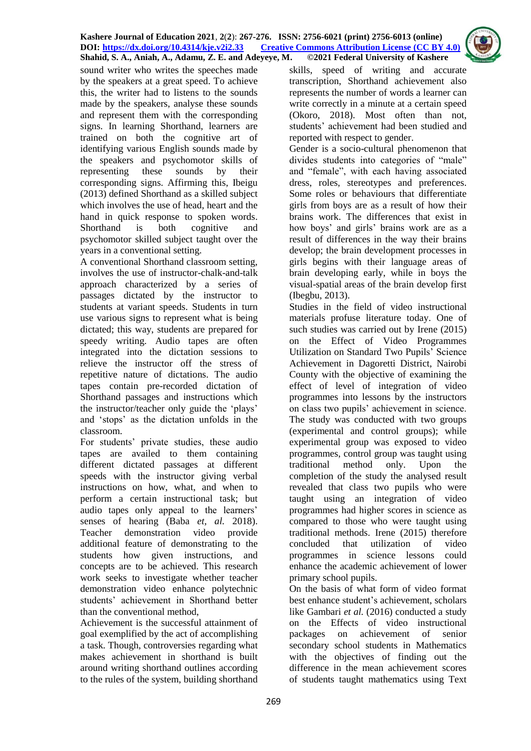

sound writer who writes the speeches made by the speakers at a great speed. To achieve this, the writer had to listens to the sounds made by the speakers, analyse these sounds and represent them with the corresponding signs. In learning Shorthand, learners are trained on both the cognitive art of identifying various English sounds made by the speakers and psychomotor skills of representing these sounds by their corresponding signs. Affirming this, Ibeigu (2013) defined Shorthand as a skilled subject which involves the use of head, heart and the hand in quick response to spoken words. Shorthand is both cognitive and psychomotor skilled subject taught over the years in a conventional setting.

A conventional Shorthand classroom setting, involves the use of instructor-chalk-and-talk approach characterized by a series of passages dictated by the instructor to students at variant speeds. Students in turn use various signs to represent what is being dictated; this way, students are prepared for speedy writing. Audio tapes are often integrated into the dictation sessions to relieve the instructor off the stress of repetitive nature of dictations. The audio tapes contain pre-recorded dictation of Shorthand passages and instructions which the instructor/teacher only guide the 'plays' and 'stops' as the dictation unfolds in the classroom.

For students' private studies, these audio tapes are availed to them containing different dictated passages at different speeds with the instructor giving verbal instructions on how, what, and when to perform a certain instructional task; but audio tapes only appeal to the learners' senses of hearing (Baba *et, al.* 2018). Teacher demonstration video provide additional feature of demonstrating to the students how given instructions, and concepts are to be achieved. This research work seeks to investigate whether teacher demonstration video enhance polytechnic students' achievement in Shorthand better than the conventional method,

Achievement is the successful attainment of goal exemplified by the act of accomplishing a task. Though, controversies regarding what makes achievement in shorthand is built around writing shorthand outlines according to the rules of the system, building shorthand skills, speed of writing and accurate transcription, Shorthand achievement also represents the number of words a learner can write correctly in a minute at a certain speed (Okoro, 2018). Most often than not, students' achievement had been studied and reported with respect to gender.

Gender is a socio-cultural phenomenon that divides students into categories of "male" and "female", with each having associated dress, roles, stereotypes and preferences. Some roles or behaviours that differentiate girls from boys are as a result of how their brains work. The differences that exist in how boys' and girls' brains work are as a result of differences in the way their brains develop; the brain development processes in girls begins with their language areas of brain developing early, while in boys the visual-spatial areas of the brain develop first (Ibegbu, 2013).

Studies in the field of video instructional materials profuse literature today. One of such studies was carried out by Irene (2015) on the Effect of Video Programmes Utilization on Standard Two Pupils' Science Achievement in Dagoretti District, Nairobi County with the objective of examining the effect of level of integration of video programmes into lessons by the instructors on class two pupils' achievement in science. The study was conducted with two groups (experimental and control groups); while experimental group was exposed to video programmes, control group was taught using traditional method only. Upon the completion of the study the analysed result revealed that class two pupils who were taught using an integration of video programmes had higher scores in science as compared to those who were taught using traditional methods. Irene (2015) therefore concluded that utilization of video programmes in science lessons could enhance the academic achievement of lower primary school pupils.

On the basis of what form of video format best enhance student's achievement, scholars like Gambari *et al.* (2016) conducted a study on the Effects of video instructional packages on achievement of senior secondary school students in Mathematics with the objectives of finding out the difference in the mean achievement scores of students taught mathematics using Text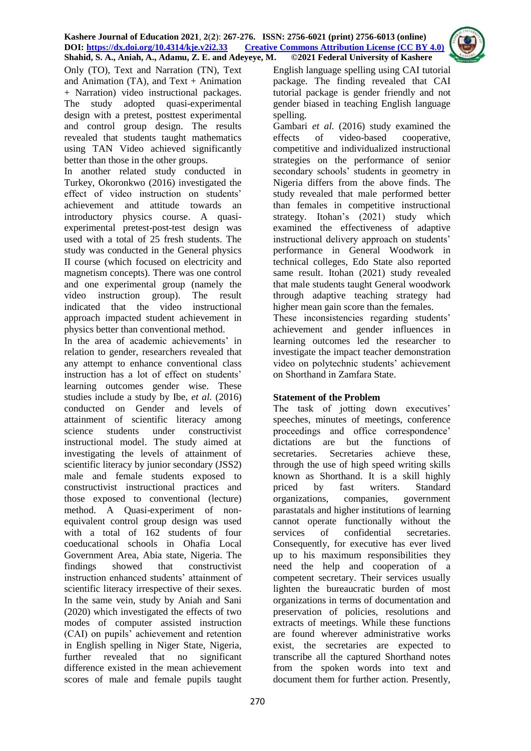

Only (TO), Text and Narration (TN), Text and Animation  $(TA)$ , and Text + Animation + Narration) video instructional packages. The study adopted quasi-experimental design with a pretest, posttest experimental and control group design. The results revealed that students taught mathematics using TAN Video achieved significantly better than those in the other groups.

In another related study conducted in Turkey, Okoronkwo (2016) investigated the effect of video instruction on students' achievement and attitude towards an introductory physics course. A quasiexperimental pretest-post-test design was used with a total of 25 fresh students. The study was conducted in the General physics II course (which focused on electricity and magnetism concepts). There was one control and one experimental group (namely the video instruction group). The result indicated that the video instructional approach impacted student achievement in physics better than conventional method.

In the area of academic achievements' in relation to gender, researchers revealed that any attempt to enhance conventional class instruction has a lot of effect on students' learning outcomes gender wise. These studies include a study by Ibe, *et al.* (2016) conducted on Gender and levels of attainment of scientific literacy among science students under constructivist instructional model. The study aimed at investigating the levels of attainment of scientific literacy by junior secondary (JSS2) male and female students exposed to constructivist instructional practices and those exposed to conventional (lecture) method. A Quasi-experiment of nonequivalent control group design was used with a total of 162 students of four coeducational schools in Ohafia Local Government Area, Abia state, Nigeria. The findings showed that constructivist instruction enhanced students' attainment of scientific literacy irrespective of their sexes. In the same vein, study by Aniah and Sani (2020) which investigated the effects of two modes of computer assisted instruction (CAI) on pupils' achievement and retention in English spelling in Niger State, Nigeria, further revealed that no significant difference existed in the mean achievement scores of male and female pupils taught

English language spelling using CAI tutorial package. The finding revealed that CAI tutorial package is gender friendly and not gender biased in teaching English language spelling.

Gambari *et al.* (2016) study examined the effects of video-based cooperative, competitive and individualized instructional strategies on the performance of senior secondary schools' students in geometry in Nigeria differs from the above finds. The study revealed that male performed better than females in competitive instructional strategy. Itohan's (2021) study which examined the effectiveness of adaptive instructional delivery approach on students' performance in General Woodwork in technical colleges, Edo State also reported same result. Itohan (2021) study revealed that male students taught General woodwork through adaptive teaching strategy had higher mean gain score than the females.

These inconsistencies regarding students' achievement and gender influences in learning outcomes led the researcher to investigate the impact teacher demonstration video on polytechnic students' achievement on Shorthand in Zamfara State.

# **Statement of the Problem**

The task of jotting down executives' speeches, minutes of meetings, conference proceedings and office correspondence' dictations are but the functions of secretaries. Secretaries achieve these, through the use of high speed writing skills known as Shorthand. It is a skill highly priced by fast writers. Standard organizations, companies, government parastatals and higher institutions of learning cannot operate functionally without the services of confidential secretaries. Consequently, for executive has ever lived up to his maximum responsibilities they need the help and cooperation of a competent secretary. Their services usually lighten the bureaucratic burden of most organizations in terms of documentation and preservation of policies, resolutions and extracts of meetings. While these functions are found wherever administrative works exist, the secretaries are expected to transcribe all the captured Shorthand notes from the spoken words into text and document them for further action. Presently,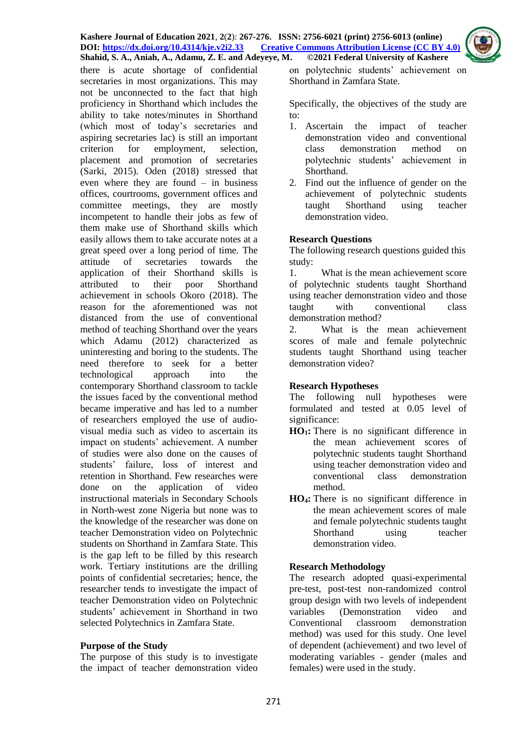

there is acute shortage of confidential secretaries in most organizations. This may not be unconnected to the fact that high proficiency in Shorthand which includes the ability to take notes/minutes in Shorthand (which most of today's secretaries and aspiring secretaries lac) is still an important criterion for employment, selection, placement and promotion of secretaries (Sarki, 2015). Oden (2018) stressed that even where they are found – in business offices, courtrooms, government offices and committee meetings, they are mostly incompetent to handle their jobs as few of them make use of Shorthand skills which easily allows them to take accurate notes at a great speed over a long period of time. The attitude of secretaries towards the application of their Shorthand skills is attributed to their poor Shorthand achievement in schools Okoro (2018). The reason for the aforementioned was not distanced from the use of conventional method of teaching Shorthand over the years which Adamu (2012) characterized as uninteresting and boring to the students. The need therefore to seek for a better technological approach into the contemporary Shorthand classroom to tackle the issues faced by the conventional method became imperative and has led to a number of researchers employed the use of audiovisual media such as video to ascertain its impact on students' achievement. A number of studies were also done on the causes of students' failure, loss of interest and retention in Shorthand. Few researches were done on the application of video instructional materials in Secondary Schools in North-west zone Nigeria but none was to the knowledge of the researcher was done on teacher Demonstration video on Polytechnic students on Shorthand in Zamfara State. This is the gap left to be filled by this research work. Tertiary institutions are the drilling points of confidential secretaries; hence, the researcher tends to investigate the impact of teacher Demonstration video on Polytechnic students' achievement in Shorthand in two selected Polytechnics in Zamfara State.

#### **Purpose of the Study**

The purpose of this study is to investigate the impact of teacher demonstration video on polytechnic students' achievement on Shorthand in Zamfara State.

Specifically, the objectives of the study are to:

- 1. Ascertain the impact of teacher demonstration video and conventional class demonstration method on polytechnic students' achievement in Shorthand.
- 2. Find out the influence of gender on the achievement of polytechnic students taught Shorthand using teacher demonstration video.

### **Research Questions**

The following research questions guided this study:

1. What is the mean achievement score of polytechnic students taught Shorthand using teacher demonstration video and those taught with conventional class demonstration method?

2. What is the mean achievement scores of male and female polytechnic students taught Shorthand using teacher demonstration video?

#### **Research Hypotheses**

The following null hypotheses were formulated and tested at 0.05 level of significance:

- **HO1:** There is no significant difference in the mean achievement scores of polytechnic students taught Shorthand using teacher demonstration video and conventional class demonstration method.
- **HO4:** There is no significant difference in the mean achievement scores of male and female polytechnic students taught Shorthand using teacher demonstration video.

# **Research Methodology**

The research adopted quasi-experimental pre-test, post-test non-randomized control group design with two levels of independent variables (Demonstration video and Conventional classroom demonstration method) was used for this study. One level of dependent (achievement) and two level of moderating variables - gender (males and females) were used in the study.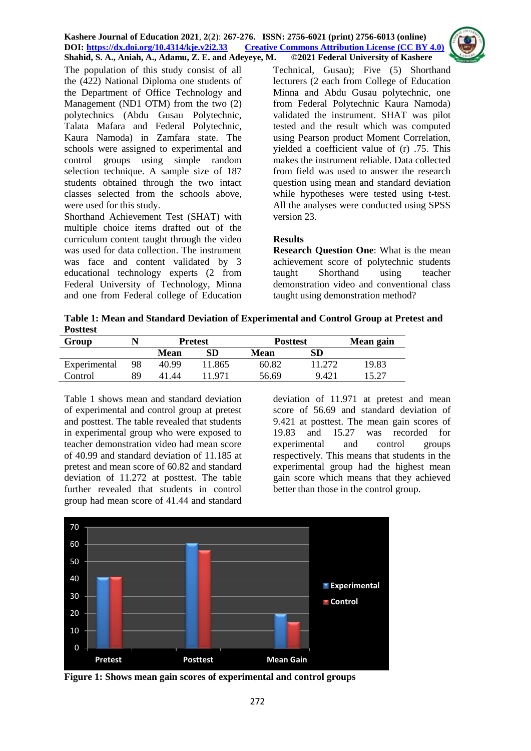

The population of this study consist of all the (422) National Diploma one students of the Department of Office Technology and Management (ND1 OTM) from the two (2) polytechnics (Abdu Gusau Polytechnic, Talata Mafara and Federal Polytechnic, Kaura Namoda) in Zamfara state. The schools were assigned to experimental and control groups using simple random selection technique. A sample size of 187 students obtained through the two intact classes selected from the schools above, were used for this study.

Shorthand Achievement Test (SHAT) with multiple choice items drafted out of the curriculum content taught through the video was used for data collection. The instrument was face and content validated by 3 educational technology experts (2 from Federal University of Technology, Minna and one from Federal college of Education

Technical, Gusau); Five (5) Shorthand lecturers (2 each from College of Education Minna and Abdu Gusau polytechnic, one from Federal Polytechnic Kaura Namoda) validated the instrument. SHAT was pilot tested and the result which was computed using Pearson product Moment Correlation, yielded a coefficient value of (r) .75. This makes the instrument reliable. Data collected from field was used to answer the research question using mean and standard deviation while hypotheses were tested using t-test. All the analyses were conducted using SPSS version 23.

## **Results**

**Research Question One**: What is the mean achievement score of polytechnic students taught Shorthand using teacher demonstration video and conventional class taught using demonstration method?

**Table 1: Mean and Standard Deviation of Experimental and Control Group at Pretest and Posttest**

| Group        |    | <b>Pretest</b> |         | <b>Posttest</b> | Mean gain |       |
|--------------|----|----------------|---------|-----------------|-----------|-------|
|              |    | Mean           | SD      | Mean            | SD        |       |
| Experimental | 98 | 40.99          | ' 1.865 | 60.82           | 11 272    | 19.83 |
| Control      | RΟ | 4144           | 1971    | 56.69           | 9.421     |       |

Table 1 shows mean and standard deviation of experimental and control group at pretest and posttest. The table revealed that students in experimental group who were exposed to teacher demonstration video had mean score of 40.99 and standard deviation of 11.185 at pretest and mean score of 60.82 and standard deviation of 11.272 at posttest. The table further revealed that students in control group had mean score of 41.44 and standard deviation of 11.971 at pretest and mean score of 56.69 and standard deviation of 9.421 at posttest. The mean gain scores of 19.83 and 15.27 was recorded for experimental and control groups respectively. This means that students in the experimental group had the highest mean gain score which means that they achieved better than those in the control group.



**Figure 1: Shows mean gain scores of experimental and control groups**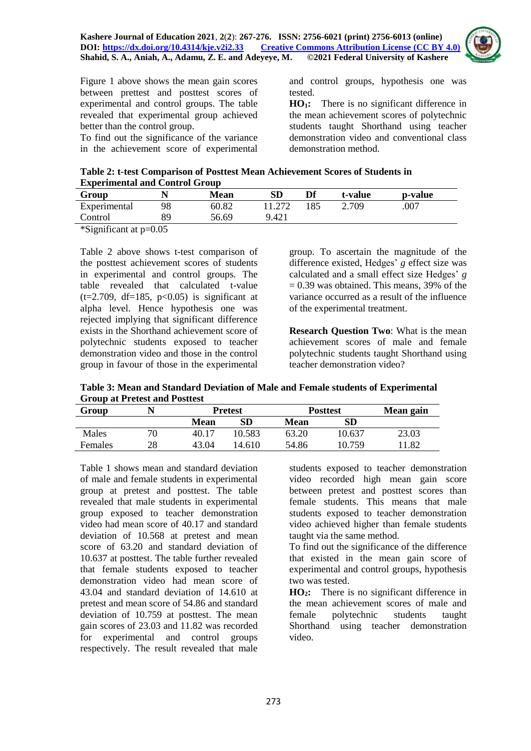

Figure 1 above shows the mean gain scores between prettest and posttest scores of experimental and control groups. The table revealed that experimental group achieved better than the control group.

To find out the significance of the variance in the achievement score of experimental and control groups, hypothesis one was tested.

**HO1:** There is no significant difference in the mean achievement scores of polytechnic students taught Shorthand using teacher demonstration video and conventional class demonstration method.

| Table 2: t-test Comparison of Posttest Mean Achievement Scores of Students in |  |
|-------------------------------------------------------------------------------|--|
| <b>Experimental and Control Group</b>                                         |  |

| Group                    |                                    | <b>Mean</b> | SD     | Df  | t-value | p-value |
|--------------------------|------------------------------------|-------------|--------|-----|---------|---------|
| Experimental             | 98                                 | 60.82       | 11.272 | 185 | 2.709   | .007    |
| Control                  |                                    | 56.69       | 9.421  |     |         |         |
| $\cdots$ $\sim$ $\cdots$ | $\sim$ $\sim$ $\sim$ $\sim$ $\sim$ |             |        |     |         |         |

\*Significant at p=0.05

Table 2 above shows t-test comparison of the posttest achievement scores of students in experimental and control groups. The table revealed that calculated t-value  $(t=2.709, df=185, p<0.05)$  is significant at alpha level. Hence hypothesis one was rejected implying that significant difference exists in the Shorthand achievement score of polytechnic students exposed to teacher demonstration video and those in the control group in favour of those in the experimental group. To ascertain the magnitude of the difference existed, Hedges' *g* effect size was calculated and a small effect size Hedges' *g*  $= 0.39$  was obtained. This means, 39% of the variance occurred as a result of the influence of the experimental treatment.

**Research Question Two**: What is the mean achievement scores of male and female polytechnic students taught Shorthand using teacher demonstration video?

**Table 3: Mean and Standard Deviation of Male and Female students of Experimental Group at Pretest and Posttest**

| Group          |    | <b>Pretest</b> |            | <b>Posttest</b> |        | Mean gain |
|----------------|----|----------------|------------|-----------------|--------|-----------|
|                |    | <b>Mean</b>    | ${\bf SD}$ | Mean            | SD     |           |
| Males          | 70 | 40.17          | 10.583     | 63.20           | 10.637 | 23.03     |
| <b>Females</b> | 28 | 43.04          | 14.610     | 54.86           | 10.759 | .82       |

Table 1 shows mean and standard deviation of male and female students in experimental group at pretest and posttest. The table revealed that male students in experimental group exposed to teacher demonstration video had mean score of 40.17 and standard deviation of 10.568 at pretest and mean score of 63.20 and standard deviation of 10.637 at posttest. The table further revealed that female students exposed to teacher demonstration video had mean score of 43.04 and standard deviation of 14.610 at pretest and mean score of 54.86 and standard deviation of 10.759 at posttest. The mean gain scores of 23.03 and 11.82 was recorded for experimental and control groups respectively. The result revealed that male

students exposed to teacher demonstration video recorded high mean gain score between pretest and posttest scores than female students. This means that male students exposed to teacher demonstration video achieved higher than female students taught via the same method.

To find out the significance of the difference that existed in the mean gain score of experimental and control groups, hypothesis two was tested.

**HO2:** There is no significant difference in the mean achievement scores of male and female polytechnic students taught Shorthand using teacher demonstration video.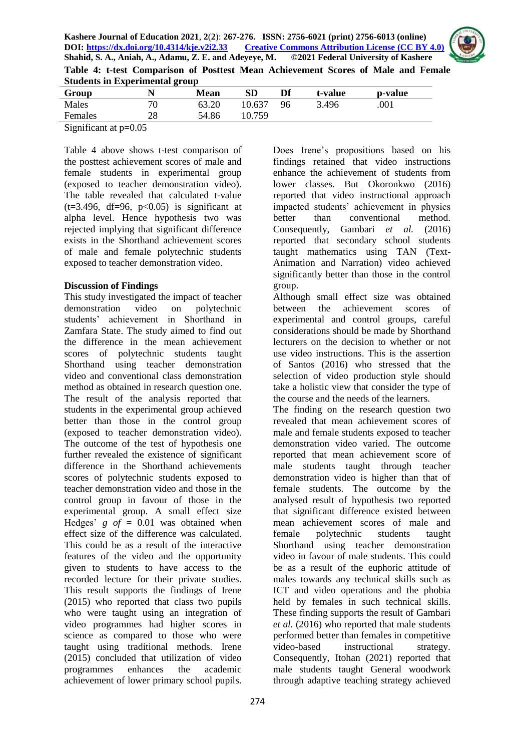

**Table 4: t-test Comparison of Posttest Mean Achievement Scores of Male and Female Students in Experimental group** 

| Group   |          | Mean  | ${\bf SD}$ | Df | t-value | p-value |  |
|---------|----------|-------|------------|----|---------|---------|--|
| Males   | 70       | 63.20 | 10.637     | 96 | 3.496   | .001    |  |
| Females | າ໑<br>20 | 54.86 | 10.759     |    |         |         |  |
|         |          |       |            |    |         |         |  |

Significant at p=0.05

Table 4 above shows t-test comparison of the posttest achievement scores of male and female students in experimental group (exposed to teacher demonstration video). The table revealed that calculated t-value  $(t=3.496, df=96, p<0.05)$  is significant at alpha level. Hence hypothesis two was rejected implying that significant difference exists in the Shorthand achievement scores of male and female polytechnic students exposed to teacher demonstration video.

### **Discussion of Findings**

This study investigated the impact of teacher demonstration video on polytechnic students' achievement in Shorthand in Zamfara State. The study aimed to find out the difference in the mean achievement scores of polytechnic students taught Shorthand using teacher demonstration video and conventional class demonstration method as obtained in research question one. The result of the analysis reported that students in the experimental group achieved better than those in the control group (exposed to teacher demonstration video). The outcome of the test of hypothesis one further revealed the existence of significant difference in the Shorthand achievements scores of polytechnic students exposed to teacher demonstration video and those in the control group in favour of those in the experimental group. A small effect size Hedges'  $g \text{ of } = 0.01$  was obtained when effect size of the difference was calculated. This could be as a result of the interactive features of the video and the opportunity given to students to have access to the recorded lecture for their private studies. This result supports the findings of Irene (2015) who reported that class two pupils who were taught using an integration of video programmes had higher scores in science as compared to those who were taught using traditional methods. Irene (2015) concluded that utilization of video programmes enhances the academic achievement of lower primary school pupils.

Does Irene's propositions based on his findings retained that video instructions enhance the achievement of students from lower classes. But Okoronkwo (2016) reported that video instructional approach impacted students' achievement in physics better than conventional method. Consequently, Gambari *et al.* (2016) reported that secondary school students taught mathematics using TAN (Text-Animation and Narration) video achieved significantly better than those in the control group.

Although small effect size was obtained between the achievement scores of experimental and control groups, careful considerations should be made by Shorthand lecturers on the decision to whether or not use video instructions. This is the assertion of Santos (2016) who stressed that the selection of video production style should take a holistic view that consider the type of the course and the needs of the learners.

The finding on the research question two revealed that mean achievement scores of male and female students exposed to teacher demonstration video varied. The outcome reported that mean achievement score of male students taught through teacher demonstration video is higher than that of female students. The outcome by the analysed result of hypothesis two reported that significant difference existed between mean achievement scores of male and female polytechnic students taught Shorthand using teacher demonstration video in favour of male students. This could be as a result of the euphoric attitude of males towards any technical skills such as ICT and video operations and the phobia held by females in such technical skills. These finding supports the result of Gambari *et al.* (2016) who reported that male students performed better than females in competitive video-based instructional strategy. Consequently, Itohan (2021) reported that male students taught General woodwork through adaptive teaching strategy achieved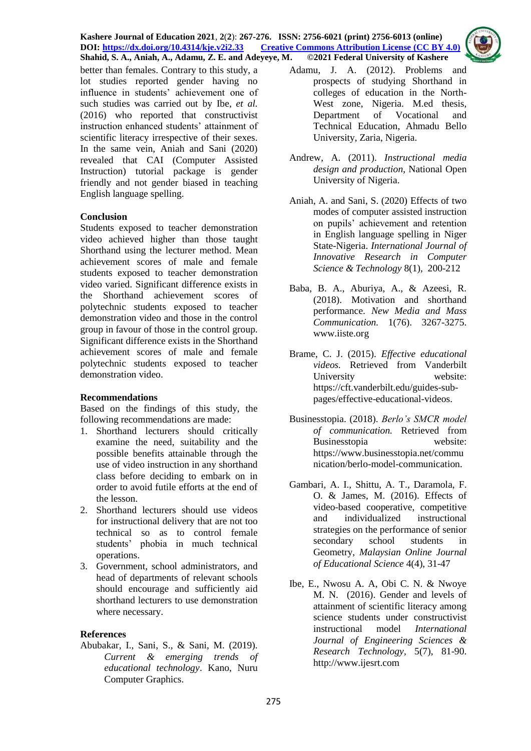**Kashere Journal of Education 2021**, **2**(**2**): **267-276. ISSN: 2756-6021 (print) 2756-6013 (online) DOI: <https://dx.doi.org/10.4314/kje.v2i2.33> [Creative Commons Attribution License](http://creativecommons.org/licenses/by/4.0/) (CC BY 4.0) Shahid, S. A., Aniah, A., Adamu, Z. E. and Adeyeye, M. ©2021 Federal University of Kashere**



better than females. Contrary to this study, a lot studies reported gender having no influence in students' achievement one of such studies was carried out by Ibe, *et al.* (2016) who reported that constructivist instruction enhanced students' attainment of scientific literacy irrespective of their sexes. In the same vein, Aniah and Sani (2020) revealed that CAI (Computer Assisted Instruction) tutorial package is gender friendly and not gender biased in teaching English language spelling.

# **Conclusion**

Students exposed to teacher demonstration video achieved higher than those taught Shorthand using the lecturer method. Mean achievement scores of male and female students exposed to teacher demonstration video varied. Significant difference exists in the Shorthand achievement scores of polytechnic students exposed to teacher demonstration video and those in the control group in favour of those in the control group. Significant difference exists in the Shorthand achievement scores of male and female polytechnic students exposed to teacher demonstration video.

## **Recommendations**

Based on the findings of this study, the following recommendations are made:

- 1. Shorthand lecturers should critically examine the need, suitability and the possible benefits attainable through the use of video instruction in any shorthand class before deciding to embark on in order to avoid futile efforts at the end of the lesson.
- 2. Shorthand lecturers should use videos for instructional delivery that are not too technical so as to control female students' phobia in much technical operations.
- 3. Government, school administrators, and head of departments of relevant schools should encourage and sufficiently aid shorthand lecturers to use demonstration where necessary.

## **References**

Abubakar, I., Sani, S., & Sani, M. (2019). *Current & emerging trends of educational technology*. Kano, Nuru Computer Graphics.

- Adamu, J. A. (2012). Problems and prospects of studying Shorthand in colleges of education in the North-West zone, Nigeria. M.ed thesis, Department of Vocational and Technical Education, Ahmadu Bello University, Zaria, Nigeria.
- Andrew, A. (2011). *Instructional media design and production*, National Open University of Nigeria.
- Aniah, A. and Sani, S. (2020) Effects of two modes of computer assisted instruction on pupils' achievement and retention in English language spelling in Niger State-Nigeria. *International Journal of Innovative Research in Computer Science & Technology* 8(1), 200-212
- Baba, B. A., Aburiya, A., & Azeesi, R. (2018). Motivation and shorthand performance. *New Media and Mass Communication.* 1(76). 3267-3275. [www.iiste.org](http://www.iiste.org/)
- Brame, C. J. (2015). *Effective educational videos.* Retrieved from Vanderbilt University website: [https://cft.vanderbilt.edu/guides-sub](https://cft.vanderbilt.edu/guides-sub-pages/effective-educational-videos)[pages/effective-educational-videos.](https://cft.vanderbilt.edu/guides-sub-pages/effective-educational-videos)
- Businesstopia. (2018). *Berlo's SMCR model of communication.* Retrieved from Businesstopia website: [https://www.businesstopia.net/commu](https://www.businesstopia.net/communication/berlo-model-communication) [nication/berlo-model-communication.](https://www.businesstopia.net/communication/berlo-model-communication)
- Gambari, A. I., Shittu, A. T., Daramola, F. O. & James, M. (2016). Effects of video-based cooperative, competitive and individualized instructional strategies on the performance of senior secondary school students in Geometry, *Malaysian Online Journal of Educational Science* 4(4), 31-47
- Ibe, E., Nwosu A. A, Obi C. N. & Nwoye M. N. (2016). Gender and levels of attainment of scientific literacy among science students under constructivist instructional model *International Journal of Engineering Sciences & Research Technology*, 5(7), 81-90. [http://www.ijesrt.com](http://www.ijesrt.com/)